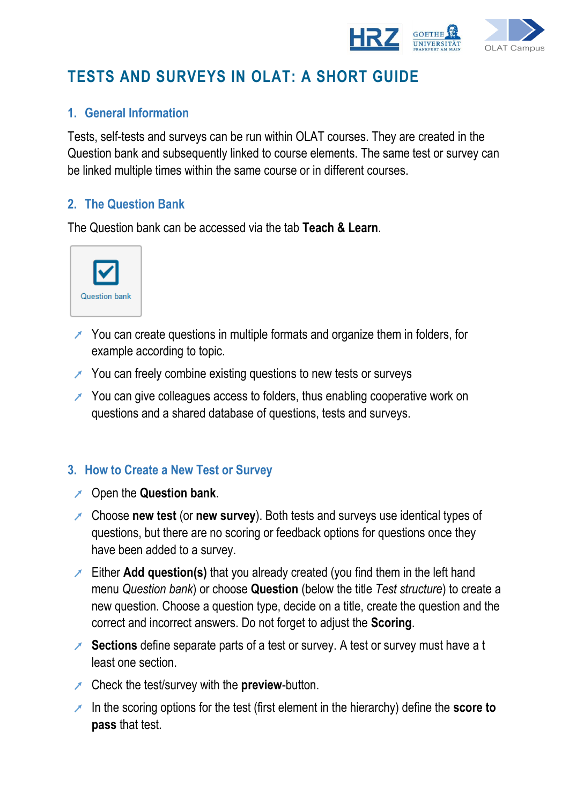

# **TESTS AND SURVEYS IN OLAT: A SHORT GUIDE**

## **1. General Information**

Tests, self-tests and surveys can be run within OLAT courses. They are created in the Question bank and subsequently linked to course elements. The same test or survey can be linked multiple times within the same course or in different courses.

#### **2. The Question Bank**

The Question bank can be accessed via the tab **Teach & Learn**.



- $\blacktriangleright$  You can create questions in multiple formats and organize them in folders, for example according to topic.
- $\lambda$  You can freely combine existing questions to new tests or surveys
- You can give colleagues access to folders, thus enabling cooperative work on questions and a shared database of questions, tests and surveys.

#### **3. How to Create a New Test or Survey**

- Open the **Question bank**.
- Choose **new test** (or **new survey**). Both tests and surveys use identical types of questions, but there are no scoring or feedback options for questions once they have been added to a survey.
- Either **Add question(s)** that you already created (you find them in the left hand menu *Question bank*) or choose **Question** (below the title *Test structure*) to create a new question. Choose a question type, decide on a title, create the question and the correct and incorrect answers. Do not forget to adjust the **Scoring**.
- **Sections** define separate parts of a test or survey. A test or survey must have a t least one section.
- Check the test/survey with the **preview**-button.
- In the scoring options for the test (first element in the hierarchy) define the **score to pass** that test.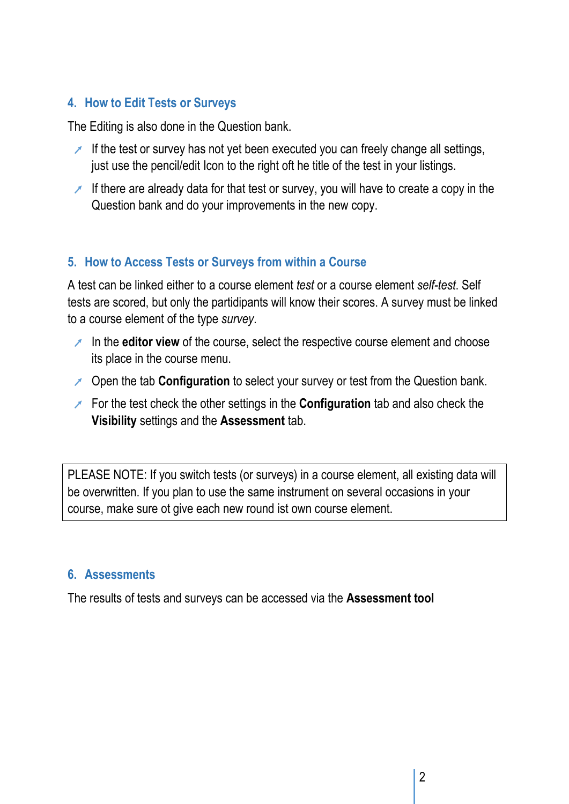## **4. How to Edit Tests or Surveys**

The Editing is also done in the Question bank.

- If the test or survey has not yet been executed you can freely change all settings, just use the pencil/edit Icon to the right oft he title of the test in your listings.
- If there are already data for that test or survey, you will have to create a copy in the Question bank and do your improvements in the new copy.

## **5. How to Access Tests or Surveys from within a Course**

A test can be linked either to a course element *test* or a course element *self-test*. Self tests are scored, but only the partidipants will know their scores. A survey must be linked to a course element of the type *survey*.

- In the **editor view** of the course, select the respective course element and choose its place in the course menu.
- Open the tab **Configuration** to select your survey or test from the Question bank.
- **For the test check the other settings in the Configuration tab and also check the Visibility** settings and the **Assessment** tab.

PLEASE NOTE: If you switch tests (or surveys) in a course element, all existing data will be overwritten. If you plan to use the same instrument on several occasions in your course, make sure ot give each new round ist own course element.

#### **6. Assessments**

The results of tests and surveys can be accessed via the **Assessment tool**